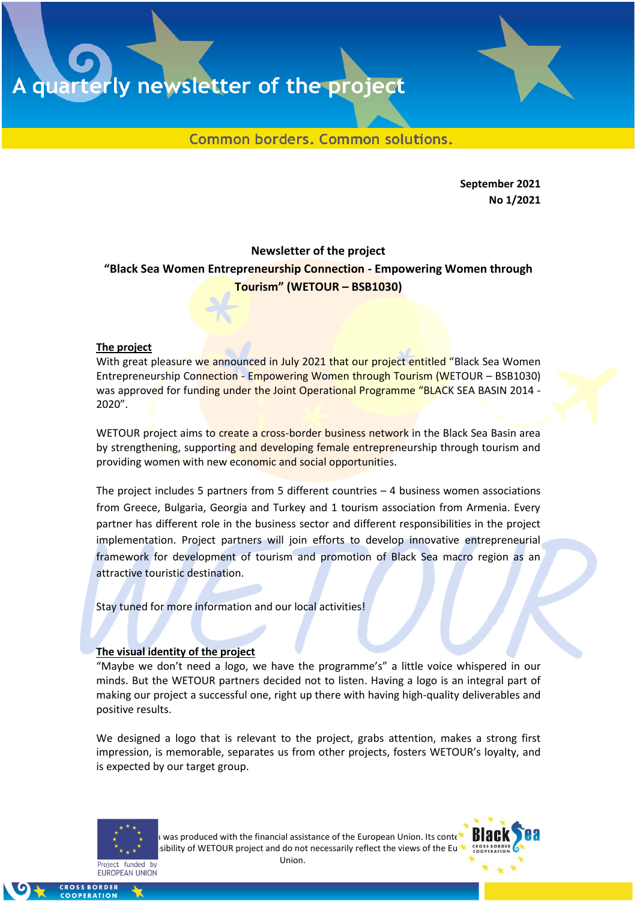A quarterly newsletter of the project

Common borders. Common solutions.

**September 2021 Νο 1/2021**

## **Newsletter of the project "Black Sea Women Entrepreneurship Connection - Empowering Women through Tourism" (WETOUR – BSB1030)**

## **The project**

With great pleasure we announced in July 2021 that our project entitled "Black Sea Women Entrepreneurship Connection - Empowering Women through Tourism (WETOUR – BSB1030) was approved for funding under the Joint Operational Programme "BLACK SEA BASIN 2014 -2020".

WETOUR project aims to create a cross-border business network in the Black Sea Basin area by strengthening, supporting and developing female entrepreneurship through tourism and providing women with new economic and social opportunities.

The project includes 5 partners from 5 different countries – 4 business women associations from Greece, Bulgaria, Georgia and Turkey and 1 tourism association from Armenia. Every partner has different role in the business sector and different responsibilities in the project implementation. Project partners will join efforts to develop innovative entrepreneurial framework for development of tourism and promotion of Black Sea macro region as an attractive touristic destination.

Stay tuned for more information and our local activities!

## **The visual identity of the project**

"Maybe we don't need a logo, we have the programme's" a little voice whispered in our minds. But the WETOUR partners decided not to listen. Having a logo is an integral part of making our project a successful one, right up there with having high-quality deliverables and positive results.

We designed a logo that is relevant to the project, grabs attention, makes a strong first impression, is memorable, separates us from other projects, fosters WETOUR's loyalty, and is expected by our target group.



I was produced with the financial assistance of the European Union. Its contents isibility of WETOUR project and do not necessarily reflect the views of the European Union.